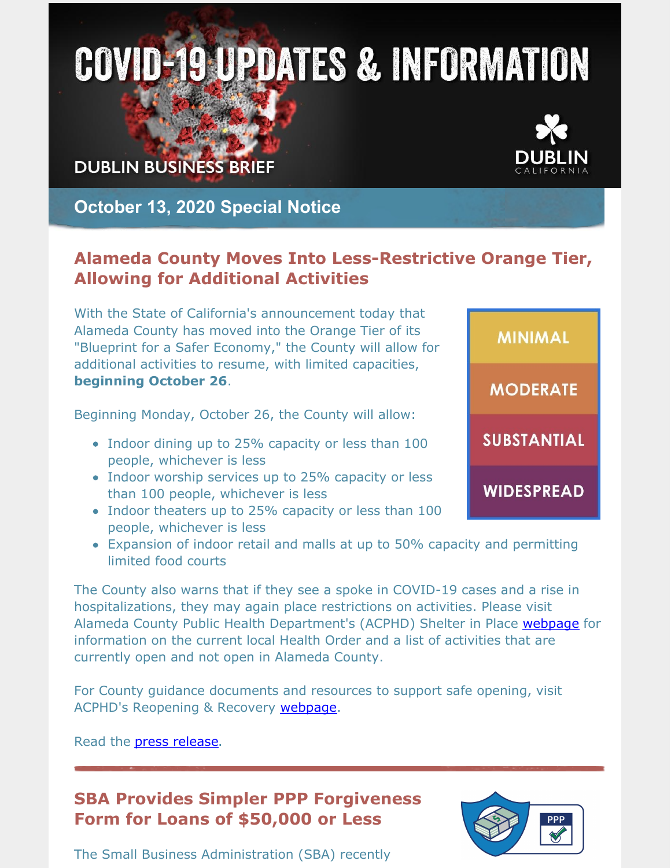## **COVID-19 UPDATES & INFORMATION**

**DUBLIN BUSINESS BRIEF** 



**MINIMAL** 

**MODERATE** 

**SUBSTANTIAL** 

**WIDESPREAD** 

**October 13, 2020 Special Notice**

## **Alameda County Moves Into Less-Restrictive Orange Tier, Allowing for Additional Activities**

With the State of California's announcement today that Alameda County has moved into the Orange Tier of its "Blueprint for a Safer Economy," the County will allow for additional activities to resume, with limited capacities, **beginning October 26**.

Beginning Monday, October 26, the County will allow:

- Indoor dining up to 25% capacity or less than 100 people, whichever is less
- Indoor worship services up to 25% capacity or less than 100 people, whichever is less
- Indoor theaters up to 25% capacity or less than 100 people, whichever is less
- Expansion of indoor retail and malls at up to 50% capacity and permitting limited food courts

The County also warns that if they see a spoke in COVID-19 cases and a rise in hospitalizations, they may again place restrictions on activities. Please visit Alameda County Public Health Department's (ACPHD) Shelter in Place [webpage](https://covid-19.acgov.org/sip.page) for information on the current local Health Order and a list of activities that are currently open and not open in Alameda County.

For County guidance documents and resources to support safe opening, visit ACPHD's Reopening & Recovery [webpage](https://covid-19.acgov.org/covid19/recovery.page).

Read the press [release.](https://covid-19.acgov.org/covid19-assets/docs/press/press-release-2020.10.13.pdf)

## **SBA Provides Simpler PPP Forgiveness Form for Loans of \$50,000 or Less**



The Small Business Administration (SBA) recently